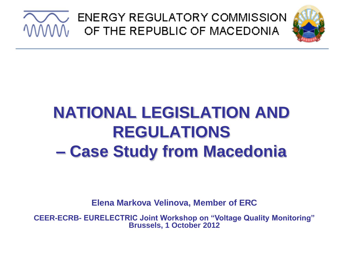

## **NATIONAL LEGISLATION AND REGULATIONS – Case Study from Macedonia**

**Elena Markova Velinova, Member of ERC**

**CEER-ECRB- EURELECTRIC Joint Workshop on "Voltage Quality Monitoring" Brussels, 1 October 2012**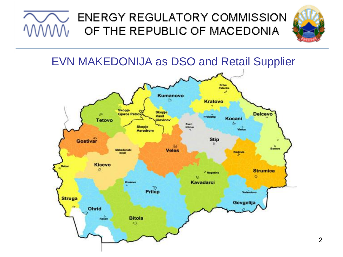





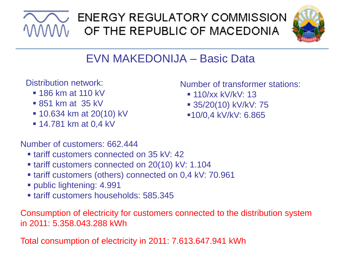



### EVN MAKEDONIJA – Basic Data

Distribution network:

- $\blacksquare$  186 km at 110 kV
- 851 km at 35 kV
- **10.634 km at 20(10) kV**
- **14.781 km at 0,4 kV**

Number of customers: 662.444

- **tariff customers connected on 35 kV: 42**
- **tariff customers connected on 20(10) kV: 1.104**
- tariff customers (others) connected on 0,4 kV: 70.961
- public lightening: 4.991
- **tariff customers households: 585,345**

Consumption of electricity for customers connected to the distribution system in 2011: 5.358.043.288 kWh

Total consumption of electricity in 2011: 7.613.647.941 kWh

Number of transformer stations:

- $110/xx$  kV/kV: 13
- 35/20(10) kV/kV: 75
- 10/0,4 kV/kV: 6.865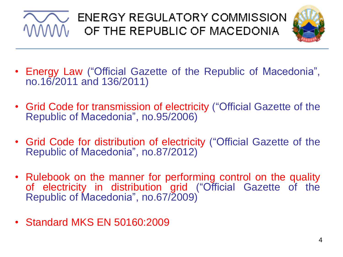



- Energy Law ("Official Gazette of the Republic of Macedonia", no.16/2011 and 136/2011)
- Grid Code for transmission of electricity ("Official Gazette of the Republic of Macedonia", no.95/2006)
- Grid Code for distribution of electricity ("Official Gazette of the Republic of Macedonia", no.87/2012)
- Rulebook on the manner for performing control on the quality of electricity in distribution grid ("Official Gazette of the Republic of Macedonia", no.67/2009)
- Standard MKS EN 50160:2009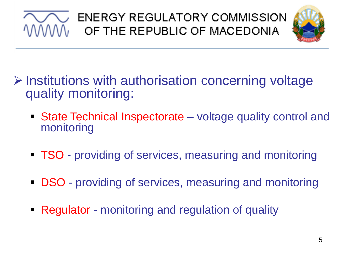



- $\triangleright$  Institutions with authorisation concerning voltage quality monitoring:
	- State Technical Inspectorate voltage quality control and monitoring
	- **TSO** providing of services, measuring and monitoring
	- **DSO** providing of services, measuring and monitoring
	- Regulator monitoring and regulation of quality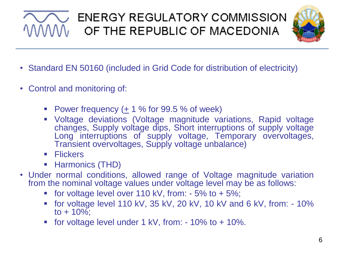

- Standard EN 50160 (included in Grid Code for distribution of electricity)
- Control and monitoring of:
	- Power frequency (+ 1 % for 99.5 % of week)
	- Voltage deviations (Voltage magnitude variations, Rapid voltage changes, Supply voltage dips, Short interruptions of supply voltage Long interruptions of supply voltage, Temporary overvoltages, Transient overvoltages, Supply voltage unbalance)
	- **Flickers**
	- **Harmonics (THD)**
- Under normal conditions, allowed range of Voltage magnitude variation from the nominal voltage values under voltage level may be as follows:
	- for voltage level over 110 kV, from:  $-5\%$  to  $+5\%$ ;
	- for voltage level 110 kV, 35 kV, 20 kV, 10 kV and 6 kV, from: 10% to  $+ 10\%$ ;
	- for voltage level under 1 kV, from:  $-10\%$  to  $+10\%$ .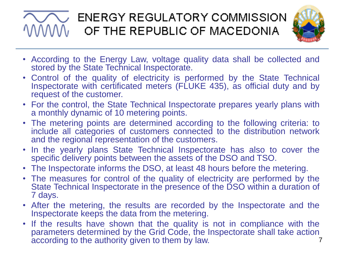

- According to the Energy Law, voltage quality data shall be collected and stored by the State Technical Inspectorate.
- Control of the quality of electricity is performed by the State Technical Inspectorate with certificated meters (FLUKE 435), as official duty and by request of the customer.
- For the control, the State Technical Inspectorate prepares yearly plans with a monthly dynamic of 10 metering points.
- The metering points are determined according to the following criteria: to include all categories of customers connected to the distribution network and the regional representation of the customers.
- In the yearly plans State Technical Inspectorate has also to cover the specific delivery points between the assets of the DSO and TSO.
- The Inspectorate informs the DSO, at least 48 hours before the metering.
- The measures for control of the quality of electricity are performed by the State Technical Inspectorate in the presence of the DSO within a duration of 7 days.
- After the metering, the results are recorded by the Inspectorate and the Inspectorate keeps the data from the metering.
- 7 • If the results have shown that the quality is not in compliance with the parameters determined by the Grid Code, the Inspectorate shall take action according to the authority given to them by law.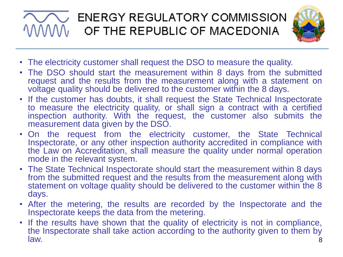

- The electricity customer shall request the DSO to measure the quality.
- The DSO should start the measurement within 8 days from the submitted request and the results from the measurement along with a statement on voltage quality should be delivered to the customer within the 8 days.
- If the customer has doubts, it shall request the State Technical Inspectorate to measure the electricity quality, or shall sign a contract with a certified inspection authority. With the request, the customer also submits the measurement data given by the DSO.
- On the request from the electricity customer, the State Technical Inspectorate, or any other inspection authority accredited in compliance with the Law on Accreditation, shall measure the quality under normal operation mode in the relevant system.
- The State Technical Inspectorate should start the measurement within 8 days from the submitted request and the results from the measurement along with statement on voltage quality should be delivered to the customer within the 8 days.
- After the metering, the results are recorded by the Inspectorate and the Inspectorate keeps the data from the metering.
- 8 • If the results have shown that the quality of electricity is not in compliance, the Inspectorate shall take action according to the authority given to them by law.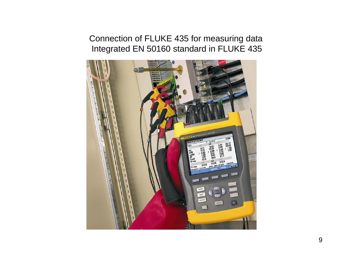Connection of FLUKE 435 for measuring data Integrated EN 50160 standard in FLUKE 435

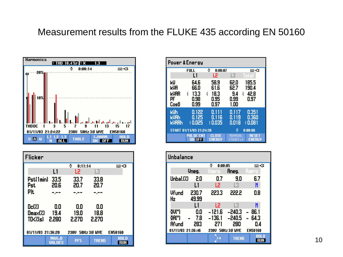#### Measurement results from the FLUKE 435 according EN 50160



| Flicker                                                     |                        |              |              |             |
|-------------------------------------------------------------|------------------------|--------------|--------------|-------------|
|                                                             |                        | ٥<br>0:11:14 |              | මෙ⊀:        |
|                                                             | L1                     | L2           | L3           |             |
| Pst(1min)                                                   | 33.5                   | 33.7         | 33.8         |             |
| Pst                                                         | 20.6                   | 20.7         | 20.7         |             |
| <b>P</b> It                                                 |                        |              |              |             |
|                                                             |                        |              |              |             |
| $Dc(\%)$                                                    | 0.0                    | 0.0          | 0.0          |             |
| Dmax(%)                                                     | 19.4                   | 19.0         | 18.8         |             |
| TD<%(s)                                                     | -2.280                 | 2.270        | 2.270        |             |
|                                                             |                        |              |              |             |
| 01/11/03 21:36:20<br>50Hz 3.8 WYE<br><b>EN50160</b><br>230U |                        |              |              |             |
|                                                             | MAX-D<br><b>VALUES</b> | PF5          | <b>TREND</b> | HOLD<br>RUN |

| Power & Energy                      |                                           |                                           |                                          |                                |
|-------------------------------------|-------------------------------------------|-------------------------------------------|------------------------------------------|--------------------------------|
|                                     | <b>FULL</b>                               | ٥<br>0:00:07                              |                                          | ⊠∿C                            |
|                                     | L1                                        | L2                                        | L3                                       | Total                          |
| kW<br>kVA<br>KVAR<br>PF<br>CosΩ     | 64.6<br>66.0<br>13.3<br>ξ<br>0.98<br>0.99 | 58.9<br>61.6<br>18.3<br>ξ<br>0.95<br>0.97 | 62.0<br>62.7<br>9.4<br>ξ<br>0.99<br>1.00 | 185.5<br>190.4<br>42.8<br>0.97 |
|                                     |                                           |                                           |                                          |                                |
| klJh<br><b>kUAh</b><br><b>kUARh</b> | 0.122<br>0.125<br>€0.025                  | 0.111<br>0.116<br>€0.035                  | 0.117<br>0.119<br>0.018                  | 0.351<br>0.360<br>0.081        |
| START 01/11/03 21:24:30             |                                           | ٥<br>0:00:06                              |                                          |                                |
|                                     | PULSE CNT<br><b>ON OFF</b>                | <b>CLOSE</b><br><b>ENERGY</b>             | mentet<br>08887.4                        | <b>RESET</b><br><b>ENERGY</b>  |

| Unbalance                                           |                   |                                     |                                           |                                       |
|-----------------------------------------------------|-------------------|-------------------------------------|-------------------------------------------|---------------------------------------|
|                                                     |                   |                                     | ٥<br>0:00:05                              |                                       |
|                                                     | Uneg.             | Vzero                               | Aneg.                                     | <u>Azero</u>                          |
| Unbal.(%)                                           | 2.0               | 0.7                                 | 9.0                                       | 6.7                                   |
|                                                     | L1                | L2                                  | L3                                        | N                                     |
| Vfund<br>Hz                                         | 230.7<br>49.99    | 223.3                               | 222.2                                     | 0.8                                   |
|                                                     | L1                | L2                                  | L3                                        | N                                     |
| <u>ōU(°)</u><br>₫A(°)<br>Afund<br>01/11/03 21:36:46 | 0.0<br>7.8<br>283 | $-121.6$<br>$-136.1$<br>271<br>230U | $-240.3$<br>-240.5<br>280<br>50Hz 3.8 WYE | 86.1<br>64.3<br>0.4<br><b>EN50160</b> |
|                                                     |                   |                                     | <b>TREND</b>                              | hui d<br>RUN                          |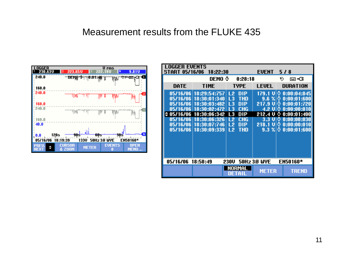#### Measurement results from the FLUKE 435



| OGGER EVENTS<br>18:22:30<br><b>EVENT</b><br>START 05/16/06<br>578 |                                                                  |                                      |                             |                                                               |
|-------------------------------------------------------------------|------------------------------------------------------------------|--------------------------------------|-----------------------------|---------------------------------------------------------------|
|                                                                   | DEMO ®                                                           | 0:28:18                              |                             | G<br>⊡−Œ                                                      |
| DATE                                                              | <b>TIME</b>                                                      | TYPE                                 | <b>LEUEL</b>                | DURATION                                                      |
|                                                                   | 05/16/06 18:29:54:757 L2<br>05/16/06 18:30:01:340                | DIP<br>THD<br>L3<br>$\perp$ 3<br>DIP | 9.6%<br>217.9               | 179.1 Ui⊕ 0:00:04:845 <br>0:00:01:600                         |
| 05/16/06                                                          | 05/16/06 18:30:03:482  <br>05/16/06 18:30:02:472<br>18:30:06:342 | <b>CHG</b><br>L3<br>L3<br>DIP        | υ⊚<br>4.2 U O<br>212.4<br>υ | 0:00:01:720<br>0:00:00:010<br>۰<br>0:00:01:400                |
| 05/16/06                                                          | 05/16/06 18:30:06:326  <br>18:30:07:746                          | CHG<br>- 12<br>DIP<br>L2             | 3.3<br>U.O<br>218.1<br>υΘ   | $\ket{0:00:00:030}$<br>0:00:00:010<br>$9.3\%$ % $0:00:01:600$ |
|                                                                   | 05/16/06 18:30:09:339 L2                                         | THD                                  |                             |                                                               |
|                                                                   |                                                                  |                                      |                             |                                                               |
| 05/16/06                                                          | 18:50:49                                                         | 230U                                 | 50Hz 3.8' WYE               | <b>EN50160*</b>                                               |
|                                                                   |                                                                  | NORMAL<br>DETAIL                     | <b>METER</b>                | TREND                                                         |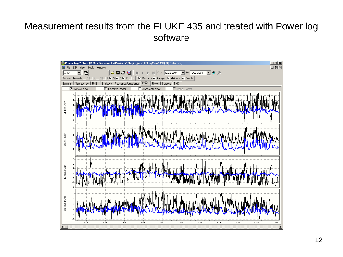#### Measurement results from the FLUKE 435 and treated with Power log software

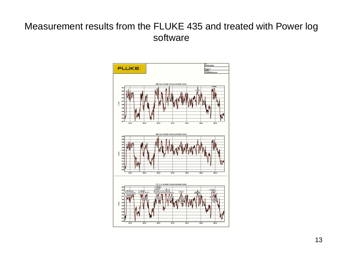#### Measurement results from the FLUKE 435 and treated with Power log software

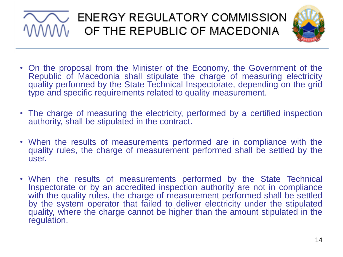# $\overline{\bigvee_{\!\!N}}$  ENERGY REGULATORY COMMISSION<br> $\overline{\mathsf{W}}_0$  of the Republic of Macedonia



- On the proposal from the Minister of the Economy, the Government of the Republic of Macedonia shall stipulate the charge of measuring electricity quality performed by the State Technical Inspectorate, depending on the grid type and specific requirements related to quality measurement.
- The charge of measuring the electricity, performed by a certified inspection authority, shall be stipulated in the contract.
- When the results of measurements performed are in compliance with the quality rules, the charge of measurement performed shall be settled by the user.
- When the results of measurements performed by the State Technical Inspectorate or by an accredited inspection authority are not in compliance with the quality rules, the charge of measurement performed shall be settled by the system operator that failed to deliver electricity under the stipulated quality, where the charge cannot be higher than the amount stipulated in the regulation.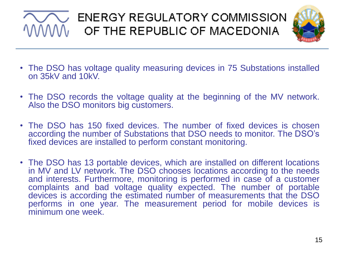## $\overline{\bigtriangledown\,}$  ENERGY REGULATORY COMMISSION OF THE REPUBLIC OF MACEDONIA



- The DSO has voltage quality measuring devices in 75 Substations installed on 35kV and 10kV.
- The DSO records the voltage quality at the beginning of the MV network. Also the DSO monitors big customers.
- The DSO has 150 fixed devices. The number of fixed devices is chosen according the number of Substations that DSO needs to monitor. The DSO's fixed devices are installed to perform constant monitoring.
- The DSO has 13 portable devices, which are installed on different locations in MV and LV network. The DSO chooses locations according to the needs and interests. Furthermore, monitoring is performed in case of a customer complaints and bad voltage quality expected. The number of portable devices is according the estimated number of measurements that the DSO performs in one year. The measurement period for mobile devices is minimum one week.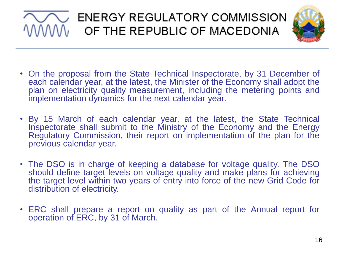## $\sqrt{\phantom{a}}$  ENERGY REGULATORY COMMISSION OF THE REPUBLIC OF MACEDONIA



- On the proposal from the State Technical Inspectorate, by 31 December of each calendar year, at the latest, the Minister of the Economy shall adopt the plan on electricity quality measurement, including the metering points and implementation dynamics for the next calendar year.
- By 15 March of each calendar year, at the latest, the State Technical Inspectorate shall submit to the Ministry of the Economy and the Energy Regulatory Commission, their report on implementation of the plan for the previous calendar year.
- The DSO is in charge of keeping a database for voltage quality. The DSO should define target levels on voltage quality and make plans for achieving the target level within two years of entry into force of the new Grid Code for distribution of electricity.
- ERC shall prepare a report on quality as part of the Annual report for operation of ERC, by 31 of March.